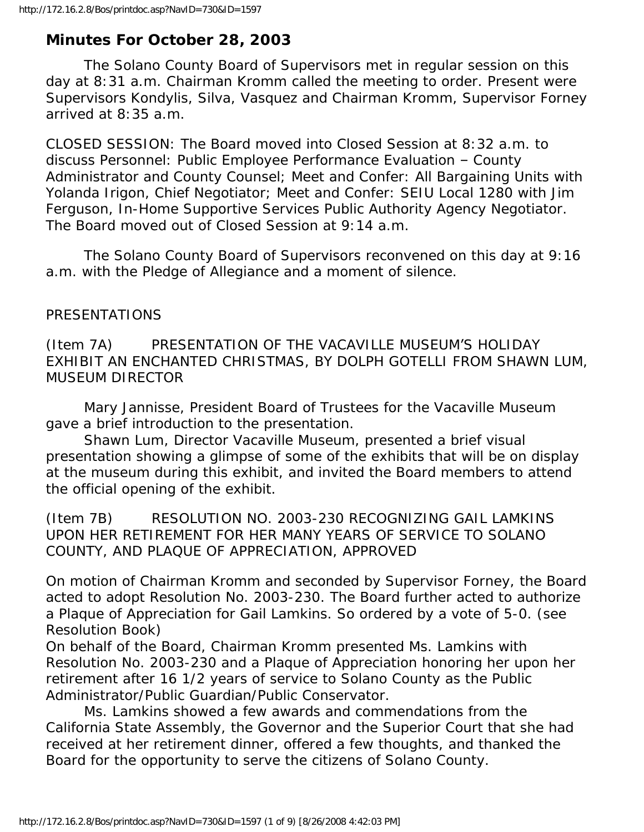# **Minutes For October 28, 2003**

 The Solano County Board of Supervisors met in regular session on this day at 8:31 a.m. Chairman Kromm called the meeting to order. Present were Supervisors Kondylis, Silva, Vasquez and Chairman Kromm, Supervisor Forney arrived at 8:35 a.m.

CLOSED SESSION: The Board moved into Closed Session at 8:32 a.m. to discuss Personnel: Public Employee Performance Evaluation – County Administrator and County Counsel; Meet and Confer: All Bargaining Units with Yolanda Irigon, Chief Negotiator; Meet and Confer: SEIU Local 1280 with Jim Ferguson, In-Home Supportive Services Public Authority Agency Negotiator. The Board moved out of Closed Session at 9:14 a.m.

 The Solano County Board of Supervisors reconvened on this day at 9:16 a.m. with the Pledge of Allegiance and a moment of silence.

#### PRESENTATIONS

(Item 7A) PRESENTATION OF THE VACAVILLE MUSEUM'S HOLIDAY EXHIBIT AN ENCHANTED CHRISTMAS, BY DOLPH GOTELLI FROM SHAWN LUM, MUSEUM DIRECTOR

 Mary Jannisse, President Board of Trustees for the Vacaville Museum gave a brief introduction to the presentation.

 Shawn Lum, Director Vacaville Museum, presented a brief visual presentation showing a glimpse of some of the exhibits that will be on display at the museum during this exhibit, and invited the Board members to attend the official opening of the exhibit.

(Item 7B) RESOLUTION NO. 2003-230 RECOGNIZING GAIL LAMKINS UPON HER RETIREMENT FOR HER MANY YEARS OF SERVICE TO SOLANO COUNTY, AND PLAQUE OF APPRECIATION, APPROVED

On motion of Chairman Kromm and seconded by Supervisor Forney, the Board acted to adopt Resolution No. 2003-230. The Board further acted to authorize a Plaque of Appreciation for Gail Lamkins. So ordered by a vote of 5-0. (see Resolution Book)

On behalf of the Board, Chairman Kromm presented Ms. Lamkins with Resolution No. 2003-230 and a Plaque of Appreciation honoring her upon her retirement after 16 1/2 years of service to Solano County as the Public Administrator/Public Guardian/Public Conservator.

 Ms. Lamkins showed a few awards and commendations from the California State Assembly, the Governor and the Superior Court that she had received at her retirement dinner, offered a few thoughts, and thanked the Board for the opportunity to serve the citizens of Solano County.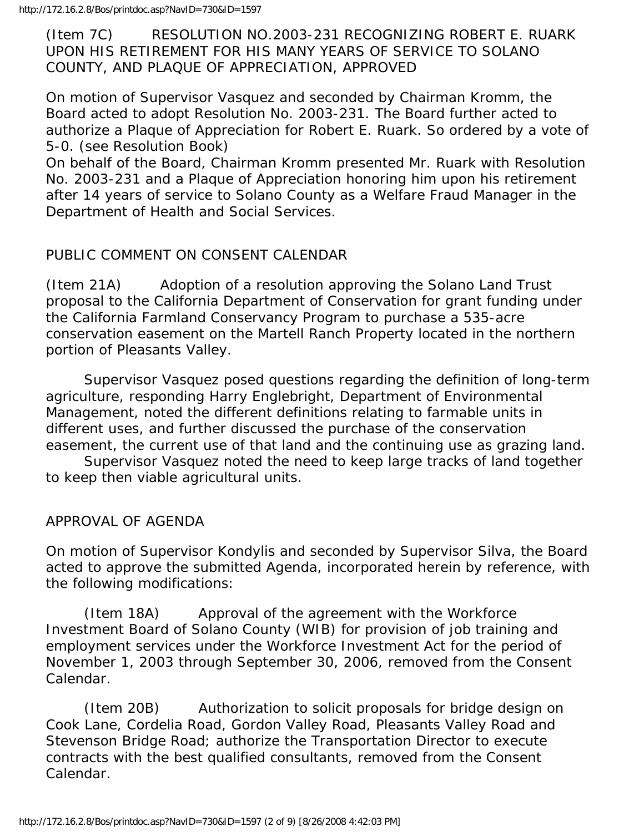http://172.16.2.8/Bos/printdoc.asp?NavID=730&ID=1597

(Item 7C) RESOLUTION NO.2003-231 RECOGNIZING ROBERT E. RUARK UPON HIS RETIREMENT FOR HIS MANY YEARS OF SERVICE TO SOLANO COUNTY, AND PLAQUE OF APPRECIATION, APPROVED

On motion of Supervisor Vasquez and seconded by Chairman Kromm, the Board acted to adopt Resolution No. 2003-231. The Board further acted to authorize a Plaque of Appreciation for Robert E. Ruark. So ordered by a vote of 5-0. (see Resolution Book)

On behalf of the Board, Chairman Kromm presented Mr. Ruark with Resolution No. 2003-231 and a Plaque of Appreciation honoring him upon his retirement after 14 years of service to Solano County as a Welfare Fraud Manager in the Department of Health and Social Services.

### PUBLIC COMMENT ON CONSENT CALENDAR

(Item 21A) Adoption of a resolution approving the Solano Land Trust proposal to the California Department of Conservation for grant funding under the California Farmland Conservancy Program to purchase a 535-acre conservation easement on the Martell Ranch Property located in the northern portion of Pleasants Valley.

 Supervisor Vasquez posed questions regarding the definition of long-term agriculture, responding Harry Englebright, Department of Environmental Management, noted the different definitions relating to farmable units in different uses, and further discussed the purchase of the conservation easement, the current use of that land and the continuing use as grazing land.

 Supervisor Vasquez noted the need to keep large tracks of land together to keep then viable agricultural units.

APPROVAL OF AGENDA

On motion of Supervisor Kondylis and seconded by Supervisor Silva, the Board acted to approve the submitted Agenda, incorporated herein by reference, with the following modifications:

 (Item 18A) Approval of the agreement with the Workforce Investment Board of Solano County (WIB) for provision of job training and employment services under the Workforce Investment Act for the period of November 1, 2003 through September 30, 2006, removed from the Consent Calendar.

 (Item 20B) Authorization to solicit proposals for bridge design on Cook Lane, Cordelia Road, Gordon Valley Road, Pleasants Valley Road and Stevenson Bridge Road; authorize the Transportation Director to execute contracts with the best qualified consultants, removed from the Consent Calendar.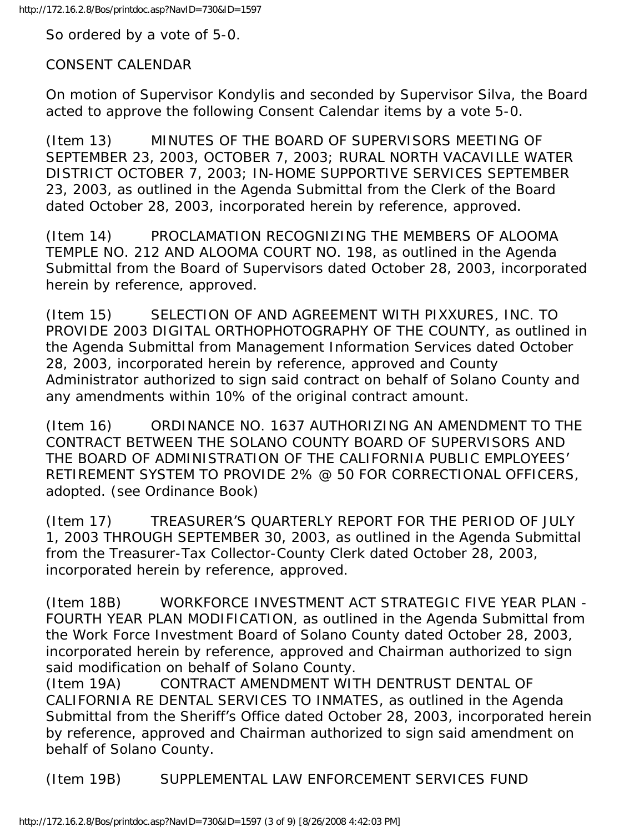So ordered by a vote of 5-0.

#### CONSENT CALENDAR

On motion of Supervisor Kondylis and seconded by Supervisor Silva, the Board acted to approve the following Consent Calendar items by a vote 5-0.

(Item 13) MINUTES OF THE BOARD OF SUPERVISORS MEETING OF SEPTEMBER 23, 2003, OCTOBER 7, 2003; RURAL NORTH VACAVILLE WATER DISTRICT OCTOBER 7, 2003; IN-HOME SUPPORTIVE SERVICES SEPTEMBER 23, 2003, as outlined in the Agenda Submittal from the Clerk of the Board dated October 28, 2003, incorporated herein by reference, approved.

(Item 14) PROCLAMATION RECOGNIZING THE MEMBERS OF ALOOMA TEMPLE NO. 212 AND ALOOMA COURT NO. 198, as outlined in the Agenda Submittal from the Board of Supervisors dated October 28, 2003, incorporated herein by reference, approved.

(Item 15) SELECTION OF AND AGREEMENT WITH PIXXURES, INC. TO PROVIDE 2003 DIGITAL ORTHOPHOTOGRAPHY OF THE COUNTY, as outlined in the Agenda Submittal from Management Information Services dated October 28, 2003, incorporated herein by reference, approved and County Administrator authorized to sign said contract on behalf of Solano County and any amendments within 10% of the original contract amount.

(Item 16) ORDINANCE NO. 1637 AUTHORIZING AN AMENDMENT TO THE CONTRACT BETWEEN THE SOLANO COUNTY BOARD OF SUPERVISORS AND THE BOARD OF ADMINISTRATION OF THE CALIFORNIA PUBLIC EMPLOYEES' RETIREMENT SYSTEM TO PROVIDE 2% @ 50 FOR CORRECTIONAL OFFICERS, adopted. (see Ordinance Book)

(Item 17) TREASURER'S QUARTERLY REPORT FOR THE PERIOD OF JULY 1, 2003 THROUGH SEPTEMBER 30, 2003, as outlined in the Agenda Submittal from the Treasurer-Tax Collector-County Clerk dated October 28, 2003, incorporated herein by reference, approved.

(Item 18B) WORKFORCE INVESTMENT ACT STRATEGIC FIVE YEAR PLAN - FOURTH YEAR PLAN MODIFICATION, as outlined in the Agenda Submittal from the Work Force Investment Board of Solano County dated October 28, 2003, incorporated herein by reference, approved and Chairman authorized to sign said modification on behalf of Solano County.

(Item 19A) CONTRACT AMENDMENT WITH DENTRUST DENTAL OF CALIFORNIA RE DENTAL SERVICES TO INMATES, as outlined in the Agenda Submittal from the Sheriff's Office dated October 28, 2003, incorporated herein by reference, approved and Chairman authorized to sign said amendment on behalf of Solano County.

(Item 19B) SUPPLEMENTAL LAW ENFORCEMENT SERVICES FUND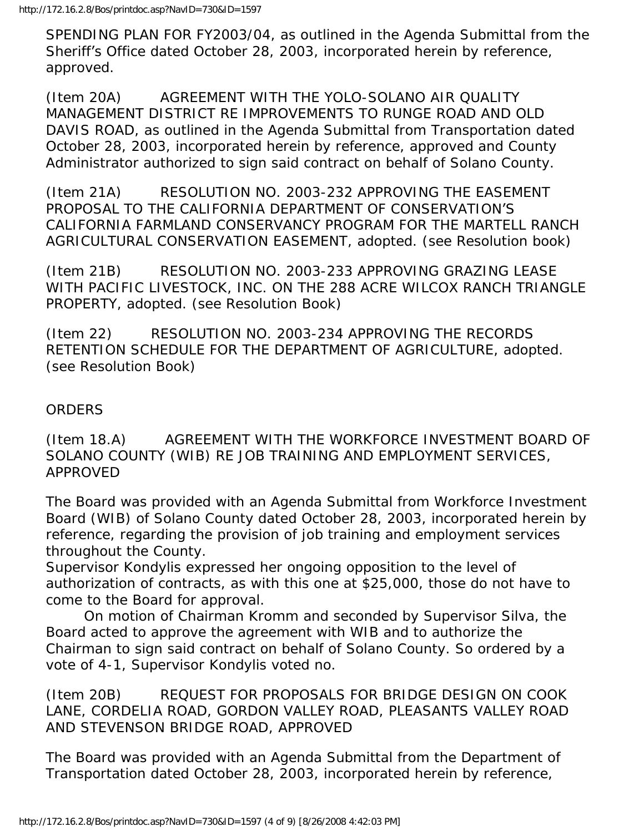SPENDING PLAN FOR FY2003/04, as outlined in the Agenda Submittal from the Sheriff's Office dated October 28, 2003, incorporated herein by reference, approved.

(Item 20A) AGREEMENT WITH THE YOLO-SOLANO AIR QUALITY MANAGEMENT DISTRICT RE IMPROVEMENTS TO RUNGE ROAD AND OLD DAVIS ROAD, as outlined in the Agenda Submittal from Transportation dated October 28, 2003, incorporated herein by reference, approved and County Administrator authorized to sign said contract on behalf of Solano County.

(Item 21A) RESOLUTION NO. 2003-232 APPROVING THE EASEMENT PROPOSAL TO THE CALIFORNIA DEPARTMENT OF CONSERVATION'S CALIFORNIA FARMLAND CONSERVANCY PROGRAM FOR THE MARTELL RANCH AGRICULTURAL CONSERVATION EASEMENT, adopted. (see Resolution book)

(Item 21B) RESOLUTION NO. 2003-233 APPROVING GRAZING LEASE WITH PACIFIC LIVESTOCK, INC. ON THE 288 ACRE WILCOX RANCH TRIANGLE PROPERTY, adopted. (see Resolution Book)

(Item 22) RESOLUTION NO. 2003-234 APPROVING THE RECORDS RETENTION SCHEDULE FOR THE DEPARTMENT OF AGRICULTURE, adopted. (see Resolution Book)

### **ORDERS**

(Item 18.A) AGREEMENT WITH THE WORKFORCE INVESTMENT BOARD OF SOLANO COUNTY (WIB) RE JOB TRAINING AND EMPLOYMENT SERVICES, APPROVED

The Board was provided with an Agenda Submittal from Workforce Investment Board (WIB) of Solano County dated October 28, 2003, incorporated herein by reference, regarding the provision of job training and employment services throughout the County.

Supervisor Kondylis expressed her ongoing opposition to the level of authorization of contracts, as with this one at \$25,000, those do not have to come to the Board for approval.

 On motion of Chairman Kromm and seconded by Supervisor Silva, the Board acted to approve the agreement with WIB and to authorize the Chairman to sign said contract on behalf of Solano County. So ordered by a vote of 4-1, Supervisor Kondylis voted no.

(Item 20B) REQUEST FOR PROPOSALS FOR BRIDGE DESIGN ON COOK LANE, CORDELIA ROAD, GORDON VALLEY ROAD, PLEASANTS VALLEY ROAD AND STEVENSON BRIDGE ROAD, APPROVED

The Board was provided with an Agenda Submittal from the Department of Transportation dated October 28, 2003, incorporated herein by reference,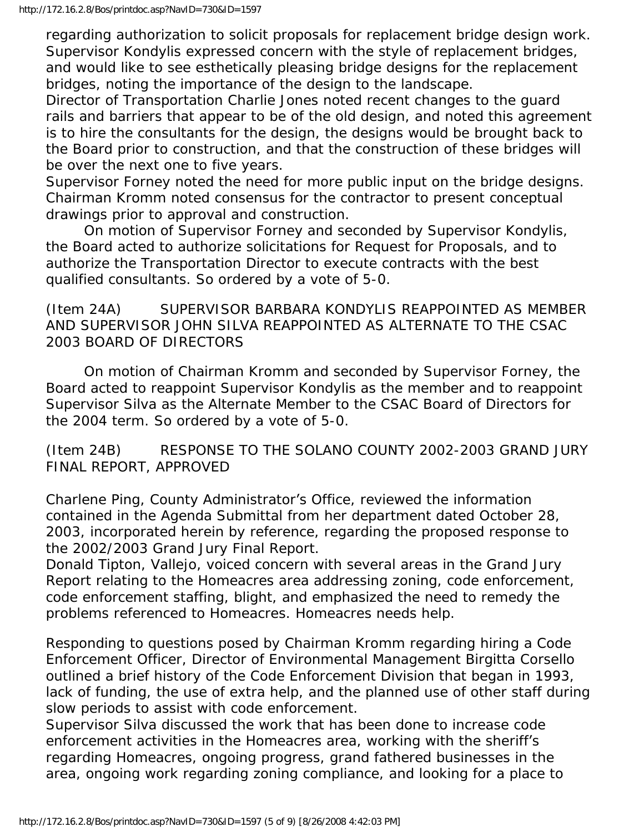regarding authorization to solicit proposals for replacement bridge design work. Supervisor Kondylis expressed concern with the style of replacement bridges, and would like to see esthetically pleasing bridge designs for the replacement bridges, noting the importance of the design to the landscape.

Director of Transportation Charlie Jones noted recent changes to the guard rails and barriers that appear to be of the old design, and noted this agreement is to hire the consultants for the design, the designs would be brought back to the Board prior to construction, and that the construction of these bridges will be over the next one to five years.

Supervisor Forney noted the need for more public input on the bridge designs. Chairman Kromm noted consensus for the contractor to present conceptual drawings prior to approval and construction.

 On motion of Supervisor Forney and seconded by Supervisor Kondylis, the Board acted to authorize solicitations for Request for Proposals, and to authorize the Transportation Director to execute contracts with the best qualified consultants. So ordered by a vote of 5-0.

(Item 24A) SUPERVISOR BARBARA KONDYLIS REAPPOINTED AS MEMBER AND SUPERVISOR JOHN SILVA REAPPOINTED AS ALTERNATE TO THE CSAC 2003 BOARD OF DIRECTORS

 On motion of Chairman Kromm and seconded by Supervisor Forney, the Board acted to reappoint Supervisor Kondylis as the member and to reappoint Supervisor Silva as the Alternate Member to the CSAC Board of Directors for the 2004 term. So ordered by a vote of 5-0.

(Item 24B) RESPONSE TO THE SOLANO COUNTY 2002-2003 GRAND JURY FINAL REPORT, APPROVED

Charlene Ping, County Administrator's Office, reviewed the information contained in the Agenda Submittal from her department dated October 28, 2003, incorporated herein by reference, regarding the proposed response to the 2002/2003 Grand Jury Final Report.

Donald Tipton, Vallejo, voiced concern with several areas in the Grand Jury Report relating to the Homeacres area addressing zoning, code enforcement, code enforcement staffing, blight, and emphasized the need to remedy the problems referenced to Homeacres. Homeacres needs help.

Responding to questions posed by Chairman Kromm regarding hiring a Code Enforcement Officer, Director of Environmental Management Birgitta Corsello outlined a brief history of the Code Enforcement Division that began in 1993, lack of funding, the use of extra help, and the planned use of other staff during slow periods to assist with code enforcement.

Supervisor Silva discussed the work that has been done to increase code enforcement activities in the Homeacres area, working with the sheriff's regarding Homeacres, ongoing progress, grand fathered businesses in the area, ongoing work regarding zoning compliance, and looking for a place to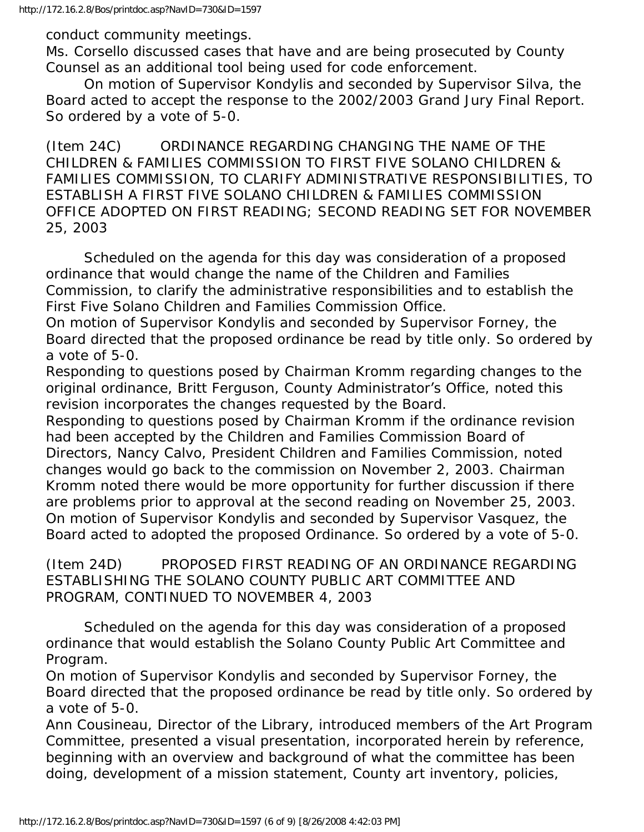conduct community meetings.

Ms. Corsello discussed cases that have and are being prosecuted by County Counsel as an additional tool being used for code enforcement.

 On motion of Supervisor Kondylis and seconded by Supervisor Silva, the Board acted to accept the response to the 2002/2003 Grand Jury Final Report. So ordered by a vote of 5-0.

(Item 24C) ORDINANCE REGARDING CHANGING THE NAME OF THE CHILDREN & FAMILIES COMMISSION TO FIRST FIVE SOLANO CHILDREN & FAMILIES COMMISSION, TO CLARIFY ADMINISTRATIVE RESPONSIBILITIES, TO ESTABLISH A FIRST FIVE SOLANO CHILDREN & FAMILIES COMMISSION OFFICE ADOPTED ON FIRST READING; SECOND READING SET FOR NOVEMBER 25, 2003

 Scheduled on the agenda for this day was consideration of a proposed ordinance that would change the name of the Children and Families Commission, to clarify the administrative responsibilities and to establish the First Five Solano Children and Families Commission Office.

On motion of Supervisor Kondylis and seconded by Supervisor Forney, the Board directed that the proposed ordinance be read by title only. So ordered by a vote of 5-0.

Responding to questions posed by Chairman Kromm regarding changes to the original ordinance, Britt Ferguson, County Administrator's Office, noted this revision incorporates the changes requested by the Board.

Responding to questions posed by Chairman Kromm if the ordinance revision had been accepted by the Children and Families Commission Board of Directors, Nancy Calvo, President Children and Families Commission, noted changes would go back to the commission on November 2, 2003. Chairman Kromm noted there would be more opportunity for further discussion if there are problems prior to approval at the second reading on November 25, 2003. On motion of Supervisor Kondylis and seconded by Supervisor Vasquez, the Board acted to adopted the proposed Ordinance. So ordered by a vote of 5-0.

(Item 24D) PROPOSED FIRST READING OF AN ORDINANCE REGARDING ESTABLISHING THE SOLANO COUNTY PUBLIC ART COMMITTEE AND PROGRAM, CONTINUED TO NOVEMBER 4, 2003

 Scheduled on the agenda for this day was consideration of a proposed ordinance that would establish the Solano County Public Art Committee and Program.

On motion of Supervisor Kondylis and seconded by Supervisor Forney, the Board directed that the proposed ordinance be read by title only. So ordered by a vote of 5-0.

Ann Cousineau, Director of the Library, introduced members of the Art Program Committee, presented a visual presentation, incorporated herein by reference, beginning with an overview and background of what the committee has been doing, development of a mission statement, County art inventory, policies,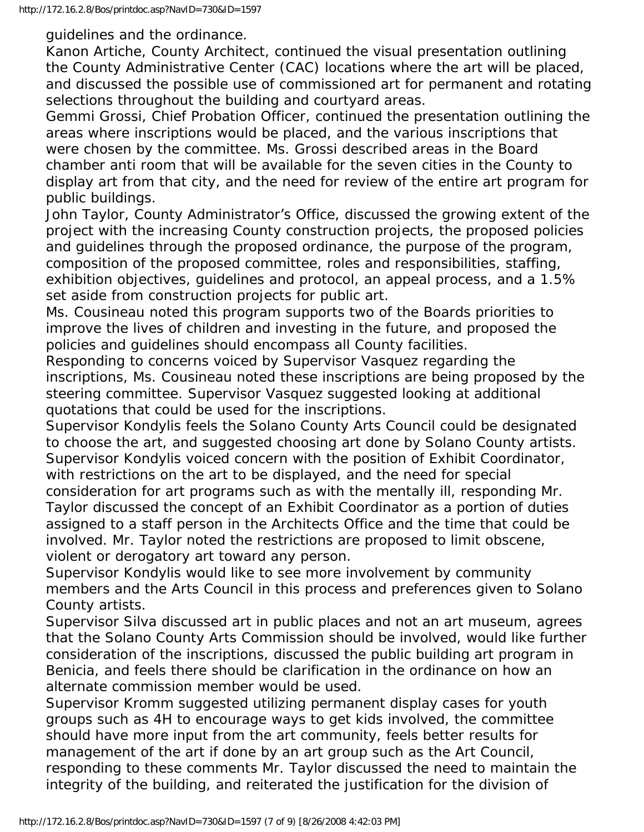guidelines and the ordinance.

Kanon Artiche, County Architect, continued the visual presentation outlining the County Administrative Center (CAC) locations where the art will be placed, and discussed the possible use of commissioned art for permanent and rotating selections throughout the building and courtyard areas.

Gemmi Grossi, Chief Probation Officer, continued the presentation outlining the areas where inscriptions would be placed, and the various inscriptions that were chosen by the committee. Ms. Grossi described areas in the Board chamber anti room that will be available for the seven cities in the County to display art from that city, and the need for review of the entire art program for public buildings.

John Taylor, County Administrator's Office, discussed the growing extent of the project with the increasing County construction projects, the proposed policies and guidelines through the proposed ordinance, the purpose of the program, composition of the proposed committee, roles and responsibilities, staffing, exhibition objectives, guidelines and protocol, an appeal process, and a 1.5% set aside from construction projects for public art.

Ms. Cousineau noted this program supports two of the Boards priorities to improve the lives of children and investing in the future, and proposed the policies and guidelines should encompass all County facilities.

Responding to concerns voiced by Supervisor Vasquez regarding the inscriptions, Ms. Cousineau noted these inscriptions are being proposed by the steering committee. Supervisor Vasquez suggested looking at additional quotations that could be used for the inscriptions.

Supervisor Kondylis feels the Solano County Arts Council could be designated to choose the art, and suggested choosing art done by Solano County artists. Supervisor Kondylis voiced concern with the position of Exhibit Coordinator, with restrictions on the art to be displayed, and the need for special consideration for art programs such as with the mentally ill, responding Mr. Taylor discussed the concept of an Exhibit Coordinator as a portion of duties

assigned to a staff person in the Architects Office and the time that could be involved. Mr. Taylor noted the restrictions are proposed to limit obscene, violent or derogatory art toward any person.

Supervisor Kondylis would like to see more involvement by community members and the Arts Council in this process and preferences given to Solano County artists.

Supervisor Silva discussed art in public places and not an art museum, agrees that the Solano County Arts Commission should be involved, would like further consideration of the inscriptions, discussed the public building art program in Benicia, and feels there should be clarification in the ordinance on how an alternate commission member would be used.

Supervisor Kromm suggested utilizing permanent display cases for youth groups such as 4H to encourage ways to get kids involved, the committee should have more input from the art community, feels better results for management of the art if done by an art group such as the Art Council, responding to these comments Mr. Taylor discussed the need to maintain the integrity of the building, and reiterated the justification for the division of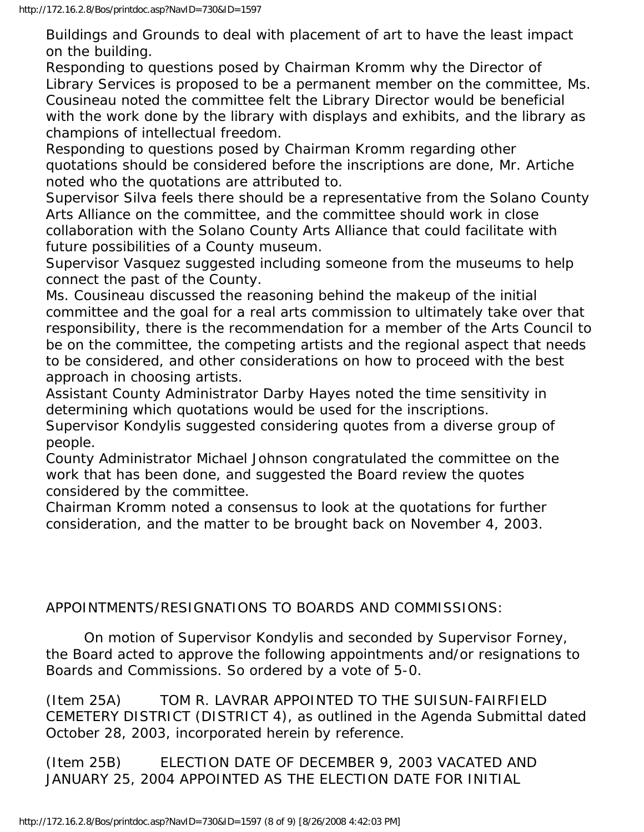Buildings and Grounds to deal with placement of art to have the least impact on the building.

Responding to questions posed by Chairman Kromm why the Director of Library Services is proposed to be a permanent member on the committee, Ms. Cousineau noted the committee felt the Library Director would be beneficial with the work done by the library with displays and exhibits, and the library as champions of intellectual freedom.

Responding to questions posed by Chairman Kromm regarding other quotations should be considered before the inscriptions are done, Mr. Artiche noted who the quotations are attributed to.

Supervisor Silva feels there should be a representative from the Solano County Arts Alliance on the committee, and the committee should work in close collaboration with the Solano County Arts Alliance that could facilitate with future possibilities of a County museum.

Supervisor Vasquez suggested including someone from the museums to help connect the past of the County.

Ms. Cousineau discussed the reasoning behind the makeup of the initial committee and the goal for a real arts commission to ultimately take over that responsibility, there is the recommendation for a member of the Arts Council to be on the committee, the competing artists and the regional aspect that needs to be considered, and other considerations on how to proceed with the best approach in choosing artists.

Assistant County Administrator Darby Hayes noted the time sensitivity in determining which quotations would be used for the inscriptions.

Supervisor Kondylis suggested considering quotes from a diverse group of people.

County Administrator Michael Johnson congratulated the committee on the work that has been done, and suggested the Board review the quotes considered by the committee.

Chairman Kromm noted a consensus to look at the quotations for further consideration, and the matter to be brought back on November 4, 2003.

## APPOINTMENTS/RESIGNATIONS TO BOARDS AND COMMISSIONS:

 On motion of Supervisor Kondylis and seconded by Supervisor Forney, the Board acted to approve the following appointments and/or resignations to Boards and Commissions. So ordered by a vote of 5-0.

(Item 25A) TOM R. LAVRAR APPOINTED TO THE SUISUN-FAIRFIELD CEMETERY DISTRICT (DISTRICT 4), as outlined in the Agenda Submittal dated October 28, 2003, incorporated herein by reference.

(Item 25B) ELECTION DATE OF DECEMBER 9, 2003 VACATED AND JANUARY 25, 2004 APPOINTED AS THE ELECTION DATE FOR INITIAL